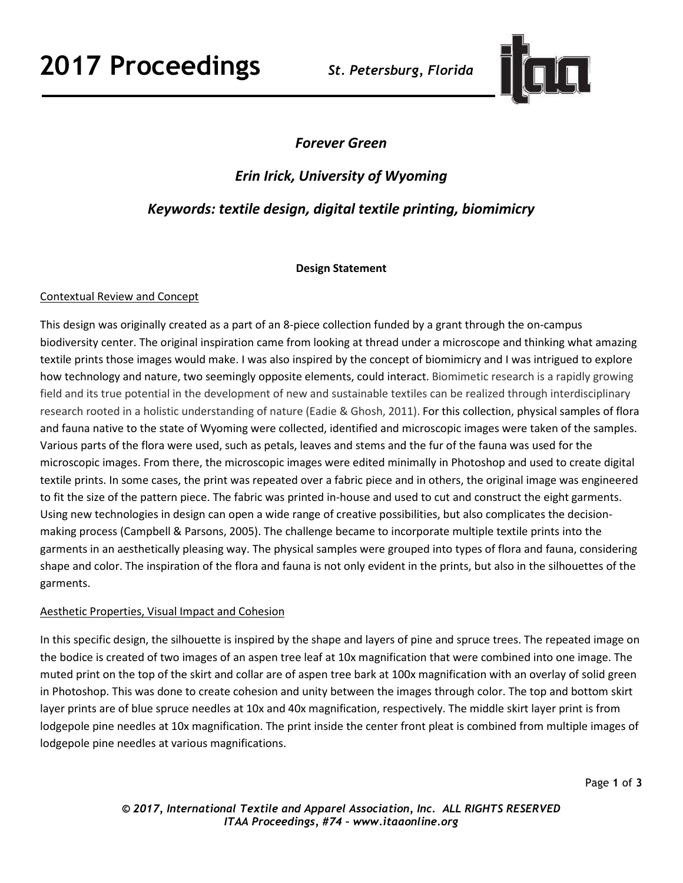# **2017 Proceedings** *St. Petersburg, Florida*



## *Forever Green*

## *Erin Irick, University of Wyoming*

## *Keywords: textile design, digital textile printing, biomimicry*

#### **Design Statement**

### Contextual Review and Concept

This design was originally created as a part of an 8-piece collection funded by a grant through the on-campus biodiversity center. The original inspiration came from looking at thread under a microscope and thinking what amazing textile prints those images would make. I was also inspired by the concept of biomimicry and I was intrigued to explore how technology and nature, two seemingly opposite elements, could interact. Biomimetic research is a rapidly growing field and its true potential in the development of new and sustainable textiles can be realized through interdisciplinary research rooted in a holistic understanding of nature (Eadie & Ghosh, 2011). For this collection, physical samples of flora and fauna native to the state of Wyoming were collected, identified and microscopic images were taken of the samples. Various parts of the flora were used, such as petals, leaves and stems and the fur of the fauna was used for the microscopic images. From there, the microscopic images were edited minimally in Photoshop and used to create digital textile prints. In some cases, the print was repeated over a fabric piece and in others, the original image was engineered to fit the size of the pattern piece. The fabric was printed in-house and used to cut and construct the eight garments. Using new technologies in design can open a wide range of creative possibilities, but also complicates the decisionmaking process (Campbell & Parsons, 2005). The challenge became to incorporate multiple textile prints into the garments in an aesthetically pleasing way. The physical samples were grouped into types of flora and fauna, considering shape and color. The inspiration of the flora and fauna is not only evident in the prints, but also in the silhouettes of the garments.

### Aesthetic Properties, Visual Impact and Cohesion

In this specific design, the silhouette is inspired by the shape and layers of pine and spruce trees. The repeated image on the bodice is created of two images of an aspen tree leaf at 10x magnification that were combined into one image. The muted print on the top of the skirt and collar are of aspen tree bark at 100x magnification with an overlay of solid green in Photoshop. This was done to create cohesion and unity between the images through color. The top and bottom skirt layer prints are of blue spruce needles at 10x and 40x magnification, respectively. The middle skirt layer print is from lodgepole pine needles at 10x magnification. The print inside the center front pleat is combined from multiple images of lodgepole pine needles at various magnifications.

Page **1** of **3**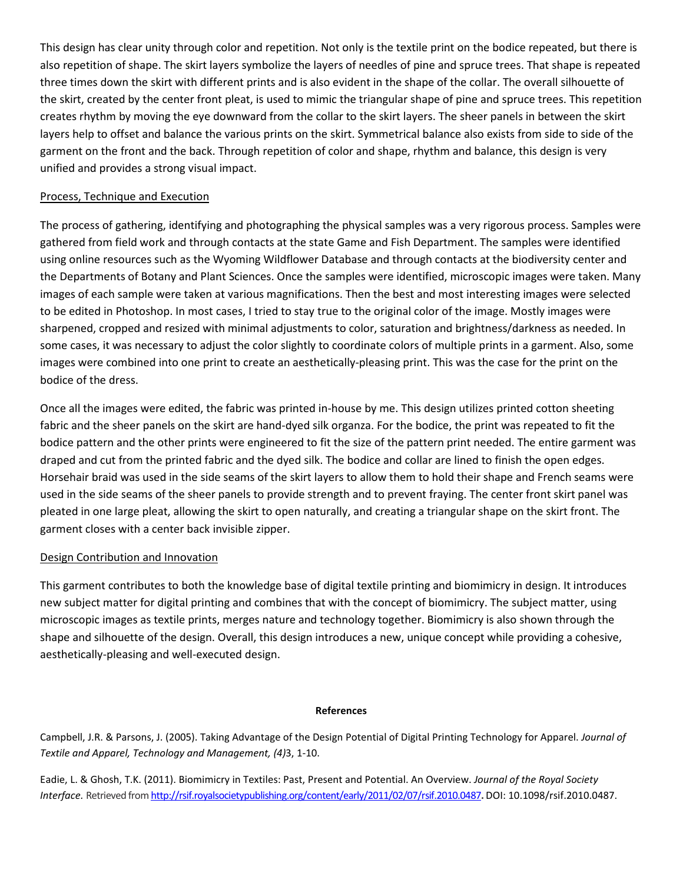This design has clear unity through color and repetition. Not only is the textile print on the bodice repeated, but there is also repetition of shape. The skirt layers symbolize the layers of needles of pine and spruce trees. That shape is repeated three times down the skirt with different prints and is also evident in the shape of the collar. The overall silhouette of the skirt, created by the center front pleat, is used to mimic the triangular shape of pine and spruce trees. This repetition creates rhythm by moving the eye downward from the collar to the skirt layers. The sheer panels in between the skirt layers help to offset and balance the various prints on the skirt. Symmetrical balance also exists from side to side of the garment on the front and the back. Through repetition of color and shape, rhythm and balance, this design is very unified and provides a strong visual impact.

#### Process, Technique and Execution

The process of gathering, identifying and photographing the physical samples was a very rigorous process. Samples were gathered from field work and through contacts at the state Game and Fish Department. The samples were identified using online resources such as the Wyoming Wildflower Database and through contacts at the biodiversity center and the Departments of Botany and Plant Sciences. Once the samples were identified, microscopic images were taken. Many images of each sample were taken at various magnifications. Then the best and most interesting images were selected to be edited in Photoshop. In most cases, I tried to stay true to the original color of the image. Mostly images were sharpened, cropped and resized with minimal adjustments to color, saturation and brightness/darkness as needed. In some cases, it was necessary to adjust the color slightly to coordinate colors of multiple prints in a garment. Also, some images were combined into one print to create an aesthetically-pleasing print. This was the case for the print on the bodice of the dress.

Once all the images were edited, the fabric was printed in-house by me. This design utilizes printed cotton sheeting fabric and the sheer panels on the skirt are hand-dyed silk organza. For the bodice, the print was repeated to fit the bodice pattern and the other prints were engineered to fit the size of the pattern print needed. The entire garment was draped and cut from the printed fabric and the dyed silk. The bodice and collar are lined to finish the open edges. Horsehair braid was used in the side seams of the skirt layers to allow them to hold their shape and French seams were used in the side seams of the sheer panels to provide strength and to prevent fraying. The center front skirt panel was pleated in one large pleat, allowing the skirt to open naturally, and creating a triangular shape on the skirt front. The garment closes with a center back invisible zipper.

#### Design Contribution and Innovation

This garment contributes to both the knowledge base of digital textile printing and biomimicry in design. It introduces new subject matter for digital printing and combines that with the concept of biomimicry. The subject matter, using microscopic images as textile prints, merges nature and technology together. Biomimicry is also shown through the shape and silhouette of the design. Overall, this design introduces a new, unique concept while providing a cohesive, aesthetically-pleasing and well-executed design.

#### **References**

Campbell, J.R. & Parsons, J. (2005). Taking Advantage of the Design Potential of Digital Printing Technology for Apparel. *Journal of Textile and Apparel, Technology and Management, (4)*3, 1-10.

Eadie, L. & Ghosh, T.K. (2011). Biomimicry in Textiles: Past, Present and Potential. An Overview. *Journal of the Royal Society Interface.* Retrieved fro[m http://rsif.royalsocietypublishing.org/content/early/2011/02/07/rsif.2010.0487](http://rsif.royalsocietypublishing.org/content/early/2011/02/07/rsif.2010.0487)**.** DOI: 10.1098/rsif.2010.0487.